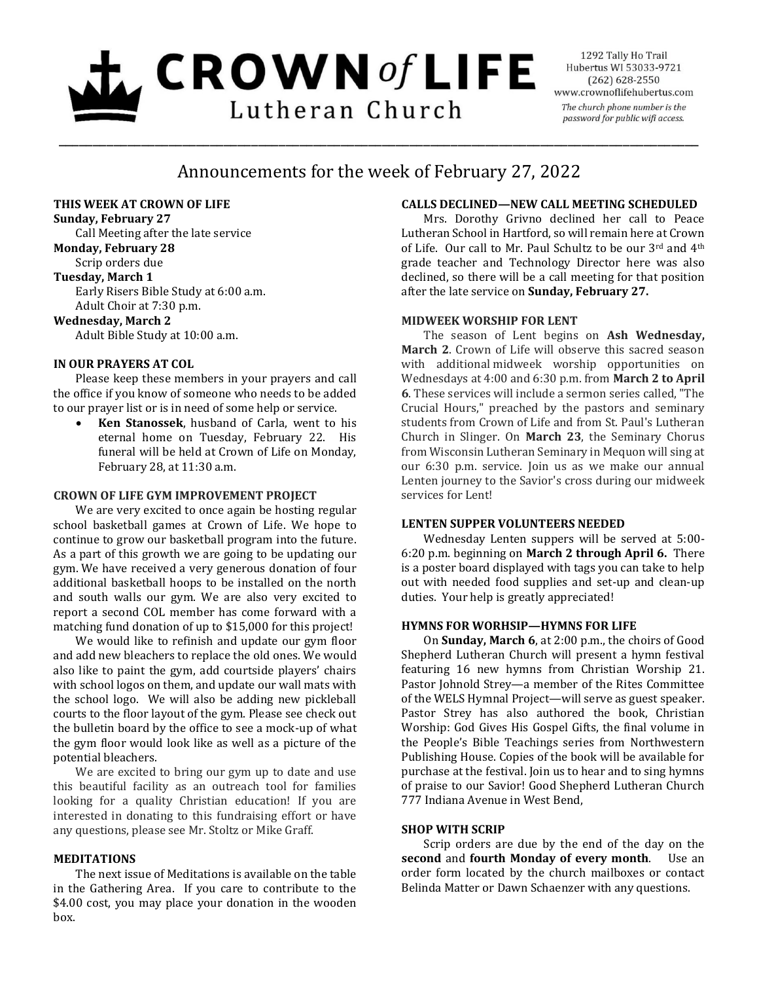# $\mathbf{L}$  CROWN of LIFE Lutheran Church

1292 Tally Ho Trail Hubertus WI 53033-9721  $(262)$  628-2550 www.crownoflifehubertus.com The church phone number is the password for public wifi access.

# Announcements for the week of February 27, 2022

\_\_\_\_\_\_\_\_\_\_\_\_\_\_\_\_\_\_\_\_\_\_\_\_\_\_\_\_\_\_\_\_\_\_\_\_\_\_\_\_\_\_\_\_\_\_\_\_\_\_\_\_\_\_\_\_\_\_\_\_\_\_\_\_\_\_\_\_\_\_\_\_\_\_\_\_\_\_\_\_\_\_\_\_\_\_\_\_\_\_\_\_\_

#### **THIS WEEK AT CROWN OF LIFE**

**Sunday, February 27**

Call Meeting after the late service **Monday, February 28** Scrip orders due **Tuesday, March 1** Early Risers Bible Study at 6:00 a.m. Adult Choir at 7:30 p.m. **Wednesday, March 2**

Adult Bible Study at 10:00 a.m.

# **IN OUR PRAYERS AT COL**

Please keep these members in your prayers and call the office if you know of someone who needs to be added to our prayer list or is in need of some help or service.

 **Ken Stanossek**, husband of Carla, went to his eternal home on Tuesday, February 22. His funeral will be held at Crown of Life on Monday, February 28, at 11:30 a.m.

#### **CROWN OF LIFE GYM IMPROVEMENT PROJECT**

We are very excited to once again be hosting regular school basketball games at Crown of Life. We hope to continue to grow our basketball program into the future. As a part of this growth we are going to be updating our gym. We have received a very generous donation of four additional basketball hoops to be installed on the north and south walls our gym. We are also very excited to report a second COL member has come forward with a matching fund donation of up to \$15,000 for this project!

We would like to refinish and update our gym floor and add new bleachers to replace the old ones. We would also like to paint the gym, add courtside players' chairs with school logos on them, and update our wall mats with the school logo. We will also be adding new pickleball courts to the floor layout of the gym. Please see check out the bulletin board by the office to see a mock-up of what the gym floor would look like as well as a picture of the potential bleachers.

We are excited to bring our gym up to date and use this beautiful facility as an outreach tool for families looking for a quality Christian education! If you are interested in donating to this fundraising effort or have any questions, please see Mr. Stoltz or Mike Graff.

#### **MEDITATIONS**

The next issue of Meditations is available on the table in the Gathering Area. If you care to contribute to the \$4.00 cost, you may place your donation in the wooden box.

# **CALLS DECLINED—NEW CALL MEETING SCHEDULED**

Mrs. Dorothy Grivno declined her call to Peace Lutheran School in Hartford, so will remain here at Crown of Life. Our call to Mr. Paul Schultz to be our 3rd and 4<sup>th</sup> grade teacher and Technology Director here was also declined, so there will be a call meeting for that position after the late service on **Sunday, February 27.**

#### **MIDWEEK WORSHIP FOR LENT**

The season of Lent begins on **Ash Wednesday, March 2**. Crown of Life will observe this sacred season with additional midweek worship opportunities on Wednesdays at 4:00 and 6:30 p.m. from **March 2 to April 6**. These services will include a sermon series called, "The Crucial Hours," preached by the pastors and seminary students from Crown of Life and from St. Paul's Lutheran Church in Slinger. On **March 23**, the Seminary Chorus from Wisconsin Lutheran Seminary in Mequon will sing at our 6:30 p.m. service. Join us as we make our annual Lenten journey to the Savior's cross during our midweek services for Lent!

#### **LENTEN SUPPER VOLUNTEERS NEEDED**

Wednesday Lenten suppers will be served at 5:00- 6:20 p.m. beginning on **March 2 through April 6.** There is a poster board displayed with tags you can take to help out with needed food supplies and set-up and clean-up duties. Your help is greatly appreciated!

#### **HYMNS FOR WORHSIP—HYMNS FOR LIFE**

On **Sunday, March 6**, at 2:00 p.m., the choirs of Good Shepherd Lutheran Church will present a hymn festival featuring 16 new hymns from Christian Worship 21. Pastor Johnold Strey—a member of the Rites Committee of the WELS Hymnal Project—will serve as guest speaker. Pastor Strey has also authored the book, Christian Worship: God Gives His Gospel Gifts, the final volume in the People's Bible Teachings series from Northwestern Publishing House. Copies of the book will be available for purchase at the festival. Join us to hear and to sing hymns of praise to our Savior! Good Shepherd Lutheran Church 777 Indiana Avenue in West Bend,

#### **SHOP WITH SCRIP**

Scrip orders are due by the end of the day on the **second** and **fourth Monday of every month**. Use an order form located by the church mailboxes or contact Belinda Matter or Dawn Schaenzer with any questions.